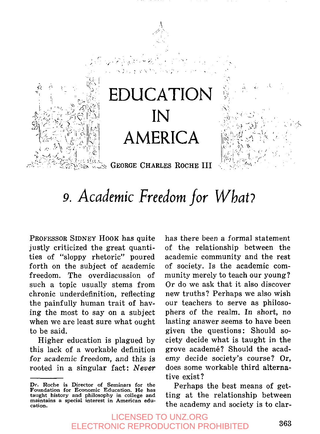

# *9. Academic Freedom for What?*

PROFESSOR SIDNEY HOOK has quite justly criticized the great quantities of "sloppy rhetoric" poured forth on the subject of academic freedom. The overdiscussion of such a topic usually stems from chronic underdefinition, reflecting the painfully human trait of having the most to say on a subject when we are least sure what ought to be said.

Higher education is plagued by this lack of a workable definition for academic freedom, and this is rooted in a singular fact: *Never*

has there been a formal statement of the relationship between the academic community and the rest of society. Is the academic community merely to teach our young? Or do we ask that it also discover new truths? Perhaps we also wish our teachers to serve as philosophers of the realm. In short, no lasting answer seems to have been given the questions: Should society decide what is taught in the grove academ6? Should the academy decide society's course? Or, does some workable third alternative exist ?

Perhaps the best means of getting at the relationship between the academy and society is to clar-

Dr. Roche is Director of Seminars for the Foundation for Economic Education. He has taught history and philosophy in college and maintains a special interest in American education.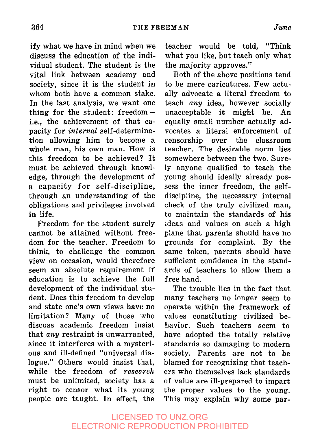ify what we have in mind when we discuss the education of the individual student. The student is the vital link between academy and society, since it is the student in whom both have a common stake. In the last analysis, we want one thing for the student: freedomi.e., the achievement of that capacity for *internal* self-determination allowing him to become a whole man, his own man. How is this freedom to be achieved'? It must be achieved through knowledge, through the development of a capacity for self-discipline, through an understanding of the obligations and privileges involved in life.

Freedom for the student surely cannot be attained without freedom for the teacher. Freedom to think, to challenge the common view on occasion, would therefore seem an absolute requirement if education is to achieve the full development of the individual student. Does this freedom to develop and state one's own views have no limitation? Many of those who discuss academic freedom insist that *any* restraint is unwarranted, since it interferes with a mysterious and ill-defined "universal dialogue." Others would insist that, while the freedom of *research* must be unlimited, society has a right to censor what its young people are taught. In effect, the teacher would be told, "Think what you like, but teach only what the majority approves."

Both of the above positions tend to be mere caricatures. Few actually advocate a literal freedom to teach *any* idea, however socially unacceptable it might be. An equally small number actually advocates a literal enforcement of censorship over the classroom teacher. The desirable norm lies somewhere between the two. Surely anyone qualified to teach the young should ideally already possess the inner freedom, the selfdiscipline, the necessary internal check of the truly civilized man, to maintain the standards of **his** ideas and values on such a high plane that parents should have no grounds for complaint. By the same token, parents should have sufficient confidence in the standards of teachers to allow them a free hand.

The trouble lies in the fact that many teachers no longer seem to operate within the framework of values constituting civilized behavior. Such teachers seem to have adopted the totally relative standards so damaging to modern society. Parents are not to be blamed for recognizing that teachers who themselves lack standards of value are ill-prepared to impart the proper values to the young. This may explain why some par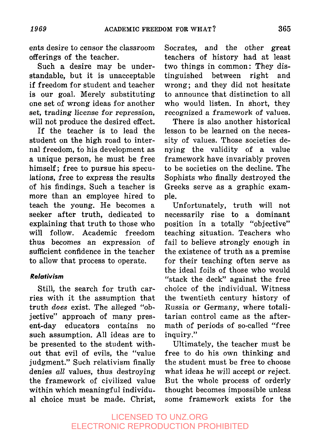ents desire to censor the classroom offerings of the teacher.

Such a desire may be understandable, but it is unacceptable if freedom for student and teacher is our goal. Merely substituting one set of wrong ideas for another set, trading license for repression, will not produce the desired effect.

If the teacher is to lead the student on the high road to internal freedom, to his development as a unique person, he must be free himself; free to pursue his speculations, free to express the results of his findings. Such a teacher is more than an employee hired to teach the young. He becomes a seeker after truth, dedicated to explaining that truth to those who will follow. Academic freedom thus becomes an expression of sufficient confidence in the teacher to allow that process to operate.

#### **Relativism**

Still, the search for truth carries with it the assumption that truth *does* exist. The alleged *"ob*jective" approach of many present-day educators contains no such assumption. All ideas are to be presented to the student without that evil of evils, the "value judgment." Such relativism finally denies *all* values, thus destroying the framework of civilized value within which meaningful individual choice must be made. Christ,

Socrates, and the other great teachers of history had at least two things in common: They distinguished between right and wrong; and they did not hesitate to announce that distinction to all who would listen. In short, they recognized a framework of values.

There is also another historical lesson to be learned on the necessity of values. Those societies denying the validity of a value framework have invariably proven to be societies on the decline. The Sophists who finally destroyed the Greeks serve as a graphic example.

Unfortunately, truth will not necessarily rise to a dominant position in a totally "objective" teaching situation. Teachers who fail to believe strongly enough in the existence of truth as a premise for their teaching often serve as the ideal foils of those who would "stack the deck" against the free choice of the individual. Witness the twentieth century history of Russia or Germany, where totalitarian control came as the aftermath of periods of so-called "free inquiry."

Ultimately, the teacher must be free to do his own thinking and the student must be free to choose what ideas he will accept or reject. But the whole process of orderly thought becomes impossible unless some framework exists for the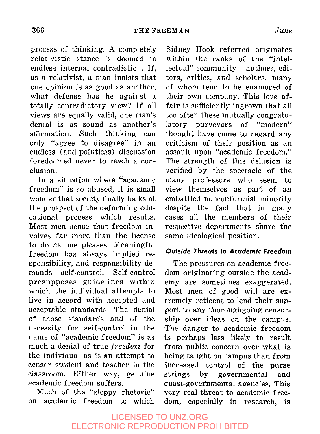process of thinking. A completely relativistic stance is doomed to endless internal contradiction. If, as a relativist, a man insists that one opinion is as good as ancther, what defense has he against a totally contradictory view? if all views are equally valid, one man's denial is as sound as another's affirmation. Such thinking can only "agree to disagree" in an endless (and pointless) discussion foredoomed never to reach a conclusion.

In a situation where "academic freedom" is so abused, it is small wonder that society finally balks at the prospect of the deforming educational process which results. Most men sense that freedora involves far more than the license to do as one pleases. Meaningful freedom has always implied responsibility, and responsibility demands self-control. Self-control presupposes guidelines within which the individual attempts to live in accord with accepted and acceptable standards. The denial of those standards and of the necessity for self-control in the name of "academic freedom" is as much a denial of true *freedom* for the individual as is an attempt to censor student and teacher in the classroom. Either way, genuine academic freedom suffers.

Much of the "sloppy rhetoric" on academic freedom to which

Sidney Hook referred originates within the ranks of the "intellectual" community - authors, editors, critics, and scholars, many of whom tend to be enamored of their own company. This love affair is sufficiently ingrown that all too often these mutually congratulatory purveyors of "modern" thought have come to regard any criticism of their position as an assault upon "academic freedom." The strength of this delusion is verified by the spectacle of the many professors who seem to view themselves as part of an embattled nonconformist minority despite the fact that in many cases all the members of their respective departments share the same ideological position.

#### **Outside Threats to Academic Freedom**

The pressures on academic freedom originating outside the academy are sometimes exaggerated. Most men of good will are extremely reticent to lend their support to any thoroughgoing censorship over ideas on the campus. The danger to academic freedom is perhaps less likely to result from public concern over what is being taught on campus than from increased control of the purse strings by governmental and quasi-governmental agencies. This very real threat to academic freedom, especially in research, is

### LICENSED TO UNZ.ORG ELECTRONIC REPRODUCTION PROHIBITED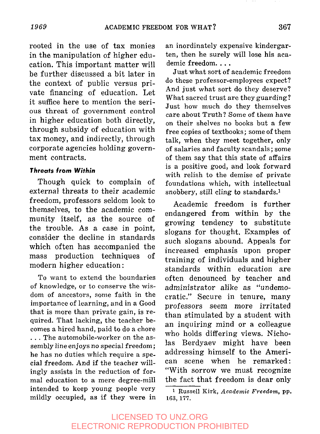rooted in the use of tax monies in the manipulation of higher education. This important matter will be further discussed a bit later in the context of public versus private financing of education. Let it suffice here to mention the serious threat of government control in higher education both directly, through subsidy of education with tax money, and indirectly, through corporate agencies holding government contracts.

#### **Threats from Within**

Though quick to complain of external threats to their academic freedom, professors seldom look to themselves, to the academic community itself, as the source of the trouble. As a case in point, consider the decline in standards which often has accompanied the mass production techniques of modern higher education:

To want to extend the boundaries of knowledge, or to conserve the wisdom of ancestors, some faith in the importance of learning, and in a Good that is more than private gain, is required. That lacking, the teacher becomes a hired hand, paid to do a chore ... The automobile-worker on the assembly line enjoys no special freedom; he has no duties which require a special freedom. And if the teacher willingly assists in the reduction of formal education to a mere degree-mill intended to keep young people very mildly occupied, as if they were in an inordinately expensive kindergarten, then he surely will lose his academic freedom....

Just what sort of academic freedom do these professor-employees expect? And just what sort do they deserve? What sacred trust are they guarding? Just how much do they themselves care about Truth ? Some of them have on their shelves no books but a few free copies of textbooks; some of them talk, when they meet together, only of salaries and faculty scandals ; some of them say that this state of affairs is a positive good, and look forward with relish to the demise of private foundations which, with intellectual snobbery, still cling to standards. $<sup>1</sup>$ </sup>

Academic freedom is further endangered from within by the growing tendency to substitute slogans for thought. Examples of such slogans abound. Appeals for increased emphasis upon proper training of individuals and higher standards within education are often denounced by teacher and administrator alike as "undemocratic." Secure in tenure, many professors seem more irritated than stimulated by a student with an inquiring mind or a colleague who holds differing views. Nicholas Berdyaev might have been addressing himself to the American scene when he remarked: "With sorrow we must recognize the fact that freedom is dear only

~ Russell Kirk, *Academic Freedom,* pp. 163, 177.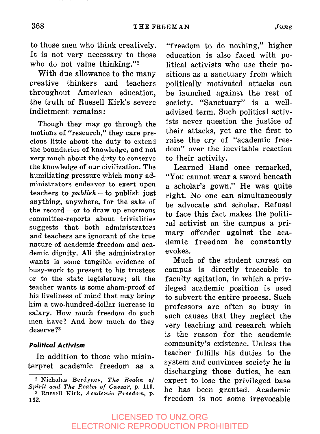to those men who think creatively. It is not very necessary to those who do not value thinking."<sup>2</sup>

With due allowance to the many creative thinkers and teachers throughout American education, the truth of Russell Kirk's severe indictment remains:

Though they may go through the motions of "research," they care precious little about the duty to extend the boundaries of knowledge, and not very much about the duty to conserve the knowledge of our civilization. The humiliating pressure which many administrators endeavor to exert upon teachers to *publish* - to publish just anything, anywhere, for the sake of the record  $-$  or to draw up enormous committee-reports about trivialities suggests that both administrators and teachers are ignorant of the true nature of academic freedom and academic dignity. All the administrator wants is some tangible evidence of busy-work to present to his trustees or to the state legislature; al}. the teacher wants is some sham-proof of his liveliness of mind that may bring him a two-hundred-dollar increase in salary. How much freedom do such men have? And how much do they deserve 73

#### **Political Activism**

In addition to those who misinterpret academic freedom as a

"freedom to do nothing," higher education is also faced with political activists who use their positions as a sanctuary from which politically motivated attacks can be launched against the rest of society. "Sanctuary" is a welladvised term. Such political activists never question the justice of their attacks, yet are the first to raise the cry of "academic freedom" over the inevitable reaction to their activity.

Learned Hand once remarked, "You cannot wear a sword beneath a scholar's gown." He was quite right. No one can simultaneously be advocate and scholar. Refusal to face this fact makes the political activist on the campus a primary offender against the academic freedom he constantly evokes.

Much of the student unrest on campus is directly traceable to faculty agitation, in which a privileged academic position is used to subvert the entire process. Such professors are often so busy in such causes that they neglect the very teaching and research which is the reason for the academic community's existence. Unless the teacher fulfills his duties to the system and convinces society he is discharging those duties, he can expect to lose the privileged base he has been granted. Academic freedom is not some irrevocable

<sup>2</sup> Nicholas Berdyaev, *The Realm Spirit and The Realm of Caesar,* p. 110.

<sup>3</sup> Russell Kirk, *Academic Freedom, p.* 162.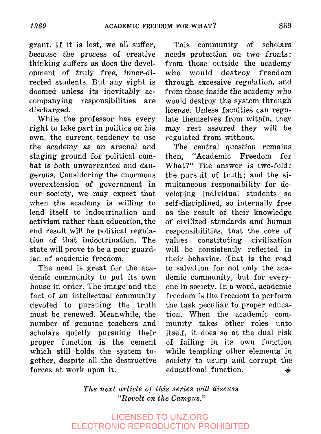grant. If it is lost, we all suffer, because the process of creative thinking suffers as does the development of truly free, inner-directed students. But any right is doomed unless its inevitably accompanying responsibilities are discharged.

While the professor has every right to take part in politics on his own, the current tendency to use the academy as an arsenal and staging ground for political combat is both unwarranted and dangerous. Considering the enormous overextension of government in our society, we may expect that when the academy is willing to lend itself to indoctrination and activism rather than education, the end result will be political regulation of that indoctrination. The state will prove to be a poor guardian of academic freedom.

The need is great for the academic community to put its own house in order. The image and the fact of an intellectual community devoted to pursuing the truth must be renewed. Meanwhile, the number of genuine teachers and scholars quietly pursuing their proper function is the cement which still holds the system together, despite all the destructive forces at work upon it.

This community of scholars needs protection on two fronts: from those outside the academy who would destroy freedom through excessive regulation, and from those inside the academy who would destroy the system through license. Unless faculties can regulate themselves from within, they may rest assured they will be regulated from without.

The central question remains then, "Academic Freedom for What?" The answer is two-fold: the pursuit of truth; and the simultaneous responsibility for developing individual students so self-disciplined, so internally free as the result of their knowledge of civilized standards and human responsibilities, that the core of values constituting civilization will be consistently reflected in their behavior. That is the road to salvation for not only the academic community, but for every~ one in society. In a word, academic freedom is the freedom to perform the task peculiar to proper education. When the academic community takes other roles unto itself, it does so at the dual risk of failing in its own function while tempting other elements in society to usurp and corrupt the educational function.  $\bullet$ 

*The next article of this series will discuss "Revolt on the Campus."*

## LICENSED TO UNZ.ORG ELECTRONIC REPRODUCTION PROHIBITED